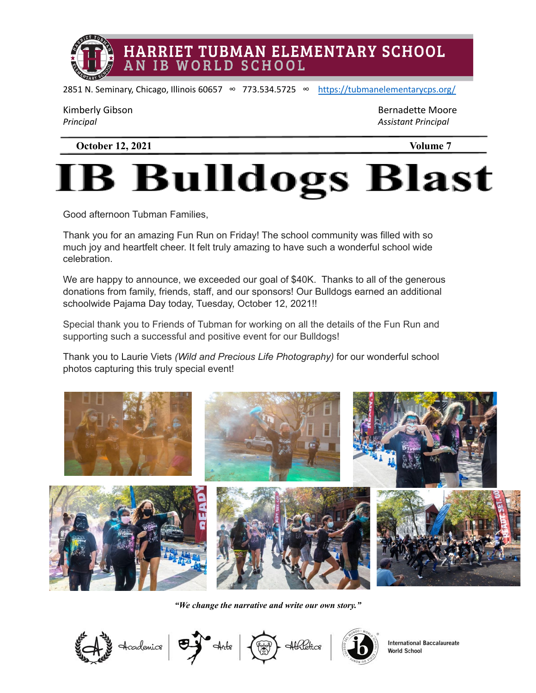

2851 N. Seminary, Chicago, Illinois 60657 ∞ 773.534.5725 ∞ <https://tubmanelementarycps.org/>

| Kimberly Gibson |  |
|-----------------|--|
| المستحدث        |  |

Bernadette Moore *Principal Assistant Principal*

**October 12, 2021 Volume 7**

# **B Bulldogs Blast**

Good afternoon Tubman Families,

Thank you for an amazing Fun Run on Friday! The school community was filled with so much joy and heartfelt cheer. It felt truly amazing to have such a wonderful school wide celebration.

We are happy to announce, we exceeded our goal of \$40K. Thanks to all of the generous donations from family, friends, staff, and our sponsors! Our Bulldogs earned an additional schoolwide Pajama Day today, Tuesday, October 12, 2021!!

Special thank you to Friends of Tubman for working on all the details of the Fun Run and supporting such a successful and positive event for our Bulldogs!

Thank you to Laurie Viets *(Wild and Precious Life Photography)* for our wonderful school photos capturing this truly special event!



*"We change the narrative and write our own story."*

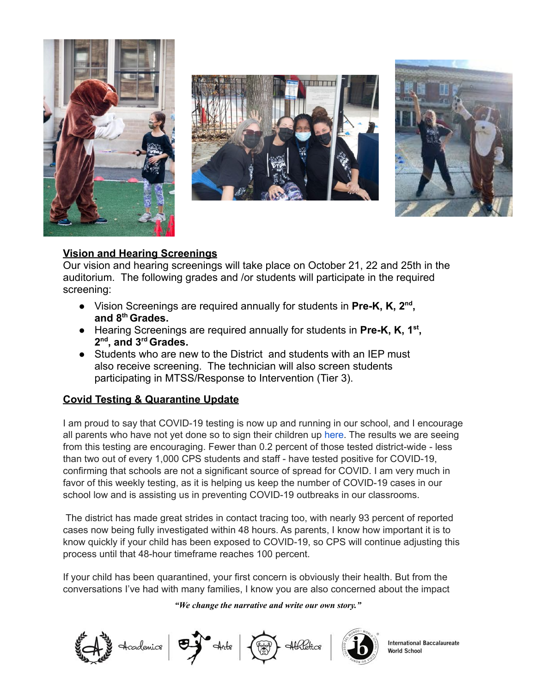





#### **Vision and Hearing Screenings**

Our vision and hearing screenings will take place on October 21, 22 and 25th in the auditorium. The following grades and /or students will participate in the required screening:

- Vision Screenings are required annually for students in **Pre-K, K, 2nd , and 8th Grades.**
- Hearing Screenings are required annually for students in **Pre-K, K, 1st , 2nd , and 3rd Grades.**
- Students who are new to the District and students with an IEP must also receive screening. The technician will also screen students participating in MTSS/Response to Intervention (Tier 3).

#### **Covid Testing & Quarantine Update**

I am proud to say that COVID-19 testing is now up and running in our school, and I encourage all parents who have not yet done so to sign their children up [here.](https://www.color.com/readycheckgo-cps) The results we are seeing from this testing are encouraging. Fewer than 0.2 percent of those tested district-wide - less than two out of every 1,000 CPS students and staff - have tested positive for COVID-19, confirming that schools are not a significant source of spread for COVID. I am very much in favor of this weekly testing, as it is helping us keep the number of COVID-19 cases in our school low and is assisting us in preventing COVID-19 outbreaks in our classrooms.

The district has made great strides in contact tracing too, with nearly 93 percent of reported cases now being fully investigated within 48 hours. As parents, I know how important it is to know quickly if your child has been exposed to COVID-19, so CPS will continue adjusting this process until that 48-hour timeframe reaches 100 percent.

If your child has been quarantined, your first concern is obviously their health. But from the conversations I've had with many families, I know you are also concerned about the impact

*"We change the narrative and write our own story."*

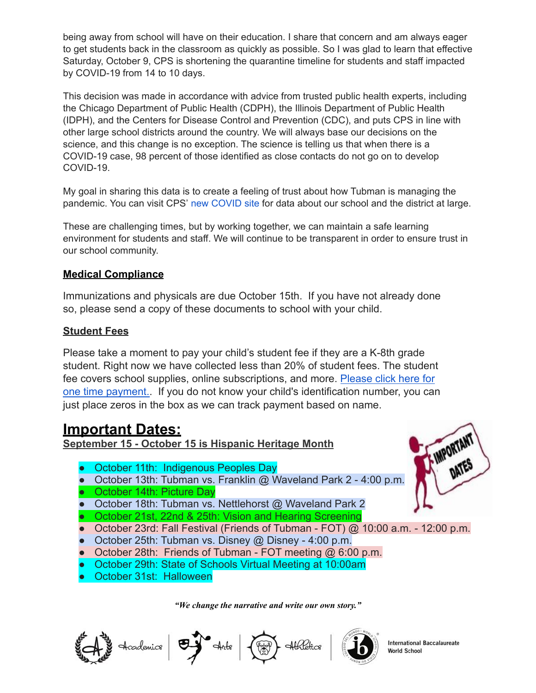being away from school will have on their education. I share that concern and am always eager to get students back in the classroom as quickly as possible. So I was glad to learn that effective Saturday, October 9, CPS is shortening the quarantine timeline for students and staff impacted by COVID-19 from 14 to 10 days.

This decision was made in accordance with advice from trusted public health experts, including the Chicago Department of Public Health (CDPH), the Illinois Department of Public Health (IDPH), and the Centers for Disease Control and Prevention (CDC), and puts CPS in line with other large school districts around the country. We will always base our decisions on the science, and this change is no exception. The science is telling us that when there is a COVID-19 case, 98 percent of those identified as close contacts do not go on to develop COVID-19.

My goal in sharing this data is to create a feeling of trust about how Tubman is managing the pandemic. You can visit CPS' new [COVID](https://www.cps.edu/services-and-supports/covid-19-resources/covid-19-readiness-data/) site for data about our school and the district at large.

These are challenging times, but by working together, we can maintain a safe learning environment for students and staff. We will continue to be transparent in order to ensure trust in our school community.

#### **Medical Compliance**

Immunizations and physicals are due October 15th. If you have not already done so, please send a copy of these documents to school with your child.

#### **Student Fees**

Please take a moment to pay your child's student fee if they are a K-8th grade student. Right now we have collected less than 20% of student fees. The student fee covers school supplies, online subscriptions, and more. [Please click here for](https://magic.collectorsolutions.com/magic-ui/Login/cps-22031-louis-a-agassiz-eleme) [one time payment..](https://magic.collectorsolutions.com/magic-ui/Login/cps-22031-louis-a-agassiz-eleme) If you do not know your child's identification number, you can just place zeros in the box as we can track payment based on name.

## **Important Dates:**

**September 15 - October 15 is Hispanic Heritage Month**

- October 11th: Indigenous Peoples Day
- October 13th: Tubman vs. Franklin @ Waveland Park 2 4:00 p.m.
- October 14th: Picture Day
- October 18th: Tubman vs. Nettlehorst @ Waveland Park 2
- October 21st, 22nd & 25th: Vision and Hearing Screening
- October 23rd: Fall Festival (Friends of Tubman FOT) @ 10:00 a.m. 12:00 p.m.
- October 25th: Tubman vs. Disney @ Disney 4:00 p.m.
- October 28th: Friends of Tubman FOT meeting @ 6:00 p.m.
- October 29th: State of Schools Virtual Meeting at 10:00am
- October 31st: Halloween

*"We change the narrative and write our own story."*